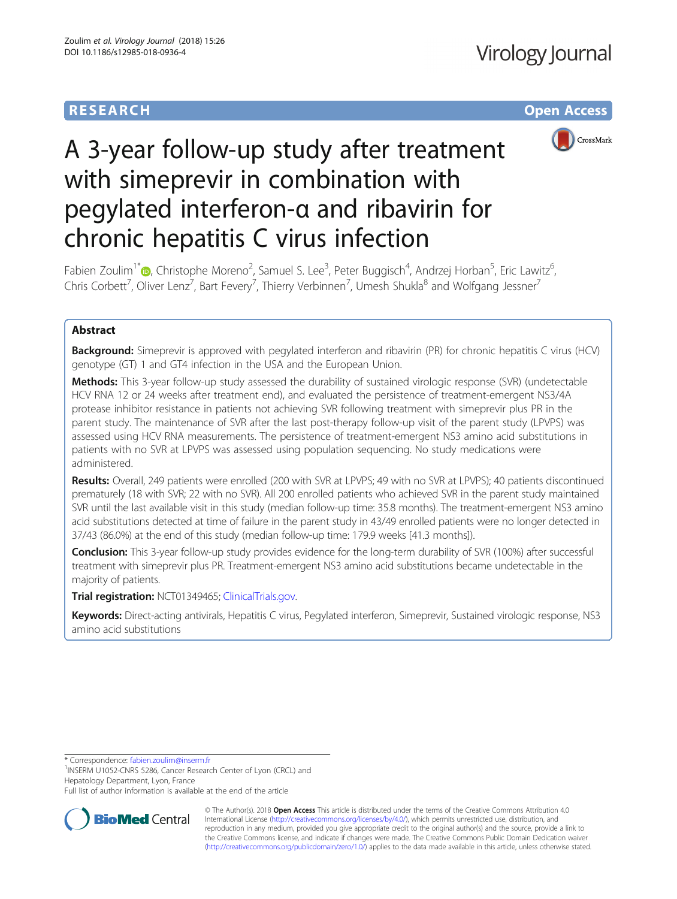# **RESEARCH CHE Open Access**



# A 3-year follow-up study after treatment with simeprevir in combination with pegylated interferon-α and ribavirin for chronic hepatitis C virus infection

Fabien Zoulim<sup>1\*</sup>®[,](http://orcid.org/0000-0002-2245-0083) Christophe Moreno<sup>2</sup>, Samuel S. Lee<sup>3</sup>, Peter Buggisch<sup>4</sup>, Andrzej Horban<sup>5</sup>, Eric Lawitz<sup>6</sup> , Chris Corbett<sup>7</sup>, Oliver Lenz<sup>7</sup>, Bart Fevery<sup>7</sup>, Thierry Verbinnen<sup>7</sup>, Umesh Shukla<sup>8</sup> and Wolfgang Jessner<sup>7</sup>

# Abstract

**Background:** Simeprevir is approved with pegylated interferon and ribavirin (PR) for chronic hepatitis C virus (HCV) genotype (GT) 1 and GT4 infection in the USA and the European Union.

Methods: This 3-year follow-up study assessed the durability of sustained virologic response (SVR) (undetectable HCV RNA 12 or 24 weeks after treatment end), and evaluated the persistence of treatment-emergent NS3/4A protease inhibitor resistance in patients not achieving SVR following treatment with simeprevir plus PR in the parent study. The maintenance of SVR after the last post-therapy follow-up visit of the parent study (LPVPS) was assessed using HCV RNA measurements. The persistence of treatment-emergent NS3 amino acid substitutions in patients with no SVR at LPVPS was assessed using population sequencing. No study medications were administered.

Results: Overall, 249 patients were enrolled (200 with SVR at LPVPS; 49 with no SVR at LPVPS); 40 patients discontinued prematurely (18 with SVR; 22 with no SVR). All 200 enrolled patients who achieved SVR in the parent study maintained SVR until the last available visit in this study (median follow-up time: 35.8 months). The treatment-emergent NS3 amino acid substitutions detected at time of failure in the parent study in 43/49 enrolled patients were no longer detected in 37/43 (86.0%) at the end of this study (median follow-up time: 179.9 weeks [41.3 months]).

Conclusion: This 3-year follow-up study provides evidence for the long-term durability of SVR (100%) after successful treatment with simeprevir plus PR. Treatment-emergent NS3 amino acid substitutions became undetectable in the majority of patients.

Trial registration: NCT01349465; [ClinicalTrials.gov.](http://clinicaltrials.gov)

Keywords: Direct-acting antivirals, Hepatitis C virus, Pegylated interferon, Simeprevir, Sustained virologic response, NS3 amino acid substitutions

\* Correspondence: [fabien.zoulim@inserm.fr](mailto:fabien.zoulim@inserm.fr) <sup>1</sup>

<sup>1</sup>INSERM U1052-CNRS 5286, Cancer Research Center of Lyon (CRCL) and Hepatology Department, Lyon, France

Full list of author information is available at the end of the article



© The Author(s). 2018 Open Access This article is distributed under the terms of the Creative Commons Attribution 4.0 International License [\(http://creativecommons.org/licenses/by/4.0/](http://creativecommons.org/licenses/by/4.0/)), which permits unrestricted use, distribution, and reproduction in any medium, provided you give appropriate credit to the original author(s) and the source, provide a link to the Creative Commons license, and indicate if changes were made. The Creative Commons Public Domain Dedication waiver [\(http://creativecommons.org/publicdomain/zero/1.0/](http://creativecommons.org/publicdomain/zero/1.0/)) applies to the data made available in this article, unless otherwise stated.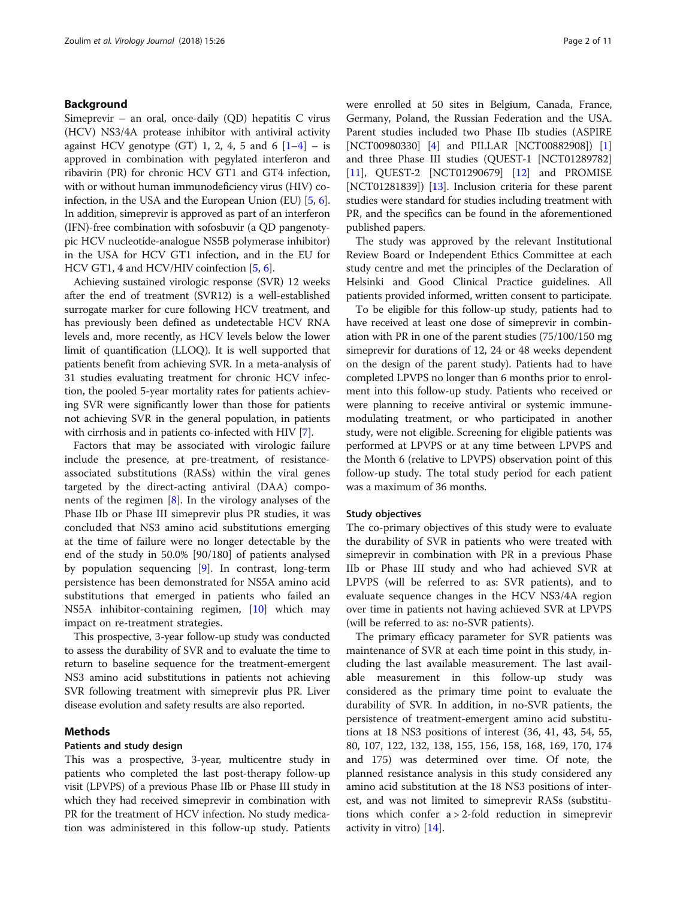## Background

Simeprevir – an oral, once-daily (QD) hepatitis C virus (HCV) NS3/4A protease inhibitor with antiviral activity against HCV genotype (GT) 1, 2, 4, 5 and 6  $[1-4]$  $[1-4]$  $[1-4]$  – is approved in combination with pegylated interferon and ribavirin (PR) for chronic HCV GT1 and GT4 infection, with or without human immunodeficiency virus (HIV) coinfection, in the USA and the European Union (EU) [[5,](#page-9-0) [6](#page-9-0)]. In addition, simeprevir is approved as part of an interferon (IFN)-free combination with sofosbuvir (a QD pangenotypic HCV nucleotide-analogue NS5B polymerase inhibitor) in the USA for HCV GT1 infection, and in the EU for HCV GT1, 4 and HCV/HIV coinfection [\[5](#page-9-0), [6\]](#page-9-0).

Achieving sustained virologic response (SVR) 12 weeks after the end of treatment (SVR12) is a well-established surrogate marker for cure following HCV treatment, and has previously been defined as undetectable HCV RNA levels and, more recently, as HCV levels below the lower limit of quantification (LLOQ). It is well supported that patients benefit from achieving SVR. In a meta-analysis of 31 studies evaluating treatment for chronic HCV infection, the pooled 5-year mortality rates for patients achieving SVR were significantly lower than those for patients not achieving SVR in the general population, in patients with cirrhosis and in patients co-infected with HIV [\[7\]](#page-9-0).

Factors that may be associated with virologic failure include the presence, at pre-treatment, of resistanceassociated substitutions (RASs) within the viral genes targeted by the direct-acting antiviral (DAA) components of the regimen [[8\]](#page-9-0). In the virology analyses of the Phase IIb or Phase III simeprevir plus PR studies, it was concluded that NS3 amino acid substitutions emerging at the time of failure were no longer detectable by the end of the study in 50.0% [90/180] of patients analysed by population sequencing [\[9](#page-9-0)]. In contrast, long-term persistence has been demonstrated for NS5A amino acid substitutions that emerged in patients who failed an NS5A inhibitor-containing regimen, [\[10](#page-9-0)] which may impact on re-treatment strategies.

This prospective, 3-year follow-up study was conducted to assess the durability of SVR and to evaluate the time to return to baseline sequence for the treatment-emergent NS3 amino acid substitutions in patients not achieving SVR following treatment with simeprevir plus PR. Liver disease evolution and safety results are also reported.

# Methods

#### Patients and study design

This was a prospective, 3-year, multicentre study in patients who completed the last post-therapy follow-up visit (LPVPS) of a previous Phase IIb or Phase III study in which they had received simeprevir in combination with PR for the treatment of HCV infection. No study medication was administered in this follow-up study. Patients were enrolled at 50 sites in Belgium, Canada, France, Germany, Poland, the Russian Federation and the USA. Parent studies included two Phase IIb studies (ASPIRE [NCT00980330] [\[4](#page-9-0)] and PILLAR [NCT00882908]) [[1](#page-9-0)] and three Phase III studies (QUEST-1 [NCT01289782] [[11](#page-9-0)], QUEST-2 [NCT01290679] [[12\]](#page-10-0) and PROMISE [NCT01281839]) [\[13\]](#page-10-0). Inclusion criteria for these parent studies were standard for studies including treatment with PR, and the specifics can be found in the aforementioned published papers.

The study was approved by the relevant Institutional Review Board or Independent Ethics Committee at each study centre and met the principles of the Declaration of Helsinki and Good Clinical Practice guidelines. All patients provided informed, written consent to participate.

To be eligible for this follow-up study, patients had to have received at least one dose of simeprevir in combination with PR in one of the parent studies (75/100/150 mg simeprevir for durations of 12, 24 or 48 weeks dependent on the design of the parent study). Patients had to have completed LPVPS no longer than 6 months prior to enrolment into this follow-up study. Patients who received or were planning to receive antiviral or systemic immunemodulating treatment, or who participated in another study, were not eligible. Screening for eligible patients was performed at LPVPS or at any time between LPVPS and the Month 6 (relative to LPVPS) observation point of this follow-up study. The total study period for each patient was a maximum of 36 months.

#### Study objectives

The co-primary objectives of this study were to evaluate the durability of SVR in patients who were treated with simeprevir in combination with PR in a previous Phase IIb or Phase III study and who had achieved SVR at LPVPS (will be referred to as: SVR patients), and to evaluate sequence changes in the HCV NS3/4A region over time in patients not having achieved SVR at LPVPS (will be referred to as: no-SVR patients).

The primary efficacy parameter for SVR patients was maintenance of SVR at each time point in this study, including the last available measurement. The last available measurement in this follow-up study was considered as the primary time point to evaluate the durability of SVR. In addition, in no-SVR patients, the persistence of treatment-emergent amino acid substitutions at 18 NS3 positions of interest (36, 41, 43, 54, 55, 80, 107, 122, 132, 138, 155, 156, 158, 168, 169, 170, 174 and 175) was determined over time. Of note, the planned resistance analysis in this study considered any amino acid substitution at the 18 NS3 positions of interest, and was not limited to simeprevir RASs (substitutions which confer a > 2-fold reduction in simeprevir activity in vitro) [\[14\]](#page-10-0).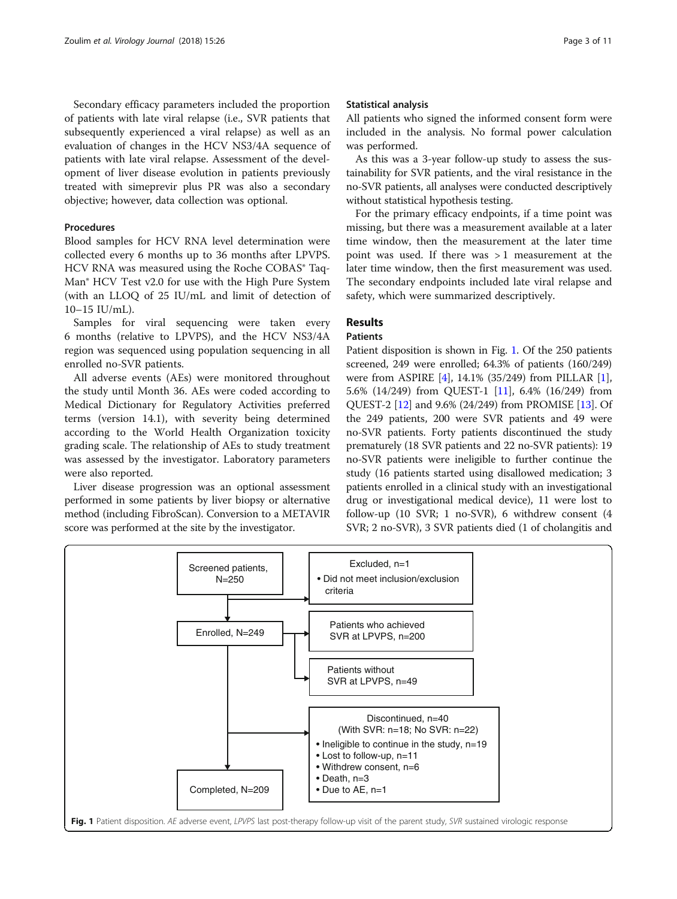Secondary efficacy parameters included the proportion of patients with late viral relapse (i.e., SVR patients that subsequently experienced a viral relapse) as well as an evaluation of changes in the HCV NS3/4A sequence of patients with late viral relapse. Assessment of the development of liver disease evolution in patients previously treated with simeprevir plus PR was also a secondary objective; however, data collection was optional.

## Procedures

Blood samples for HCV RNA level determination were collected every 6 months up to 36 months after LPVPS. HCV RNA was measured using the Roche COBAS® Taq-Man® HCV Test v2.0 for use with the High Pure System (with an LLOQ of 25 IU/mL and limit of detection of 10–15 IU/mL).

Samples for viral sequencing were taken every 6 months (relative to LPVPS), and the HCV NS3/4A region was sequenced using population sequencing in all enrolled no-SVR patients.

All adverse events (AEs) were monitored throughout the study until Month 36. AEs were coded according to Medical Dictionary for Regulatory Activities preferred terms (version 14.1), with severity being determined according to the World Health Organization toxicity grading scale. The relationship of AEs to study treatment was assessed by the investigator. Laboratory parameters were also reported.

Liver disease progression was an optional assessment performed in some patients by liver biopsy or alternative method (including FibroScan). Conversion to a METAVIR score was performed at the site by the investigator.

#### Statistical analysis

All patients who signed the informed consent form were included in the analysis. No formal power calculation was performed.

As this was a 3-year follow-up study to assess the sustainability for SVR patients, and the viral resistance in the no-SVR patients, all analyses were conducted descriptively without statistical hypothesis testing.

For the primary efficacy endpoints, if a time point was missing, but there was a measurement available at a later time window, then the measurement at the later time point was used. If there was > 1 measurement at the later time window, then the first measurement was used. The secondary endpoints included late viral relapse and safety, which were summarized descriptively.

# Results

# Patients

Patient disposition is shown in Fig. 1. Of the 250 patients screened, 249 were enrolled; 64.3% of patients (160/249) were from ASPIRE [[4\]](#page-9-0), 14.1% (35/249) from PILLAR [[1](#page-9-0)], 5.6% (14/249) from QUEST-1 [[11](#page-9-0)], 6.4% (16/249) from QUEST-2 [\[12\]](#page-10-0) and 9.6% (24/249) from PROMISE [[13](#page-10-0)]. Of the 249 patients, 200 were SVR patients and 49 were no-SVR patients. Forty patients discontinued the study prematurely (18 SVR patients and 22 no-SVR patients): 19 no-SVR patients were ineligible to further continue the study (16 patients started using disallowed medication; 3 patients enrolled in a clinical study with an investigational drug or investigational medical device), 11 were lost to follow-up (10 SVR; 1 no-SVR), 6 withdrew consent (4 SVR; 2 no-SVR), 3 SVR patients died (1 of cholangitis and

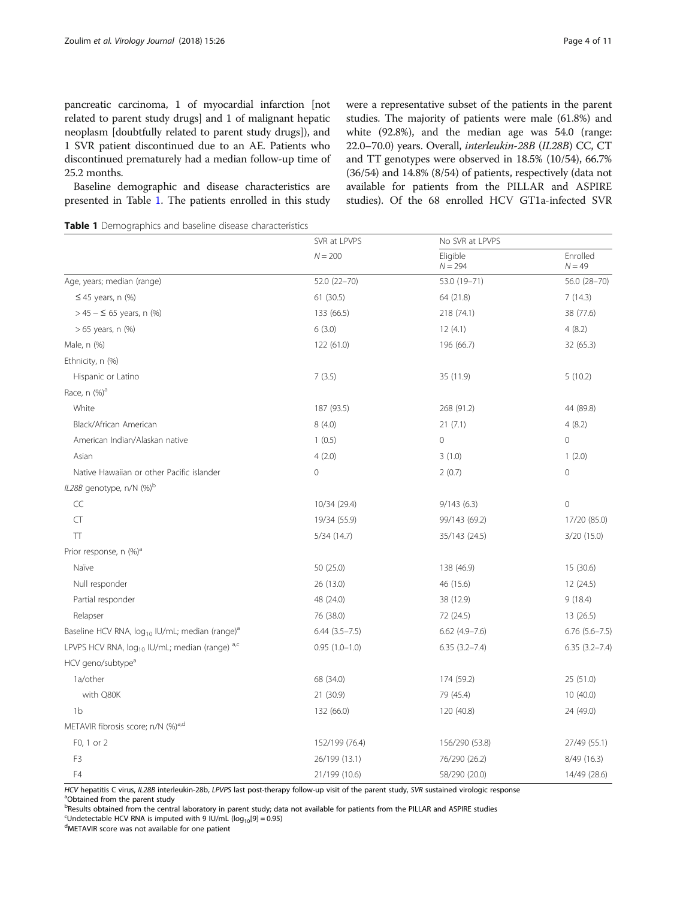pancreatic carcinoma, 1 of myocardial infarction [not related to parent study drugs] and 1 of malignant hepatic neoplasm [doubtfully related to parent study drugs]), and 1 SVR patient discontinued due to an AE. Patients who discontinued prematurely had a median follow-up time of 25.2 months.

Baseline demographic and disease characteristics are presented in Table 1. The patients enrolled in this study

were a representative subset of the patients in the parent studies. The majority of patients were male (61.8%) and white (92.8%), and the median age was 54.0 (range: 22.0–70.0) years. Overall, interleukin-28B (IL28B) CC, CT and TT genotypes were observed in 18.5% (10/54), 66.7% (36/54) and 14.8% (8/54) of patients, respectively (data not available for patients from the PILLAR and ASPIRE studies). Of the 68 enrolled HCV GT1a-infected SVR

Table 1 Demographics and baseline disease characteristics

|                                                                 | SVR at LPVPS    | No SVR at LPVPS       |                      |
|-----------------------------------------------------------------|-----------------|-----------------------|----------------------|
|                                                                 | $N = 200$       | Eligible<br>$N = 294$ | Enrolled<br>$N = 49$ |
| Age, years; median (range)                                      | 52.0 (22-70)    | 53.0 (19-71)          | 56.0 (28-70)         |
| $\leq$ 45 years, n (%)                                          | 61(30.5)        | 64 (21.8)             | 7(14.3)              |
| $>45-5$ 65 years, n (%)                                         | 133 (66.5)      | 218 (74.1)            | 38 (77.6)            |
| $>65$ years, n $(\%)$                                           | 6(3.0)          | 12(4.1)               | 4(8.2)               |
| Male, n (%)                                                     | 122 (61.0)      | 196 (66.7)            | 32 (65.3)            |
| Ethnicity, n (%)                                                |                 |                       |                      |
| Hispanic or Latino                                              | 7(3.5)          | 35 (11.9)             | 5(10.2)              |
| Race, n (%) <sup>a</sup>                                        |                 |                       |                      |
| White                                                           | 187 (93.5)      | 268 (91.2)            | 44 (89.8)            |
| Black/African American                                          | 8(4.0)          | 21(7.1)               | 4(8.2)               |
| American Indian/Alaskan native                                  | 1(0.5)          | $\overline{0}$        | $\overline{0}$       |
| Asian                                                           | 4(2.0)          | 3(1.0)                | 1(2.0)               |
| Native Hawaiian or other Pacific islander                       | $\mathbf 0$     | 2(0.7)                | $\mathsf{O}\xspace$  |
| IL28B genotype, n/N (%)b                                        |                 |                       |                      |
| CC                                                              | 10/34 (29.4)    | 9/143(6.3)            | $\overline{0}$       |
| CT                                                              | 19/34 (55.9)    | 99/143 (69.2)         | 17/20 (85.0)         |
| $\top$                                                          | 5/34(14.7)      | 35/143 (24.5)         | 3/20(15.0)           |
| Prior response, n (%) <sup>a</sup>                              |                 |                       |                      |
| Naïve                                                           | 50 (25.0)       | 138 (46.9)            | 15 (30.6)            |
| Null responder                                                  | 26 (13.0)       | 46 (15.6)             | 12(24.5)             |
| Partial responder                                               | 48 (24.0)       | 38 (12.9)             | 9(18.4)              |
| Relapser                                                        | 76 (38.0)       | 72 (24.5)             | 13 (26.5)            |
| Baseline HCV RNA, $log_{10}$ IU/mL; median (range) <sup>a</sup> | $6.44(3.5-7.5)$ | $6.62$ $(4.9 - 7.6)$  | $6.76$ $(5.6 - 7.5)$ |
| LPVPS HCV RNA, log <sub>10</sub> IU/mL; median (range) a,c      | $0.95(1.0-1.0)$ | $6.35(3.2 - 7.4)$     | $6.35(3.2 - 7.4)$    |
| HCV geno/subtype <sup>a</sup>                                   |                 |                       |                      |
| 1a/other                                                        | 68 (34.0)       | 174 (59.2)            | 25 (51.0)            |
| with Q80K                                                       | 21 (30.9)       | 79 (45.4)             | 10(40.0)             |
| 1 <sub>b</sub>                                                  | 132 (66.0)      | 120 (40.8)            | 24 (49.0)            |
| METAVIR fibrosis score; n/N (%) <sup>a,d</sup>                  |                 |                       |                      |
| F0, 1 or 2                                                      | 152/199 (76.4)  | 156/290 (53.8)        | 27/49 (55.1)         |
| F <sub>3</sub>                                                  | 26/199 (13.1)   | 76/290 (26.2)         | 8/49 (16.3)          |
| F4                                                              | 21/199 (10.6)   | 58/290 (20.0)         | 14/49 (28.6)         |

HCV hepatitis C virus, IL28B interleukin-28b, LPVPS last post-therapy follow-up visit of the parent study, SVR sustained virologic response Obtained from the parent study

b<br>Besults obtained from the central laboratory in parent study; data not available for patients from the PILLAR and ASPIRE studies

<sup>c</sup>Undetectable HCV RNA is imputed with 9 IU/mL ( $log_{10}[9] = 0.95$ )<br>dMETAVIR score was not available for one patient

METAVIR score was not available for one patient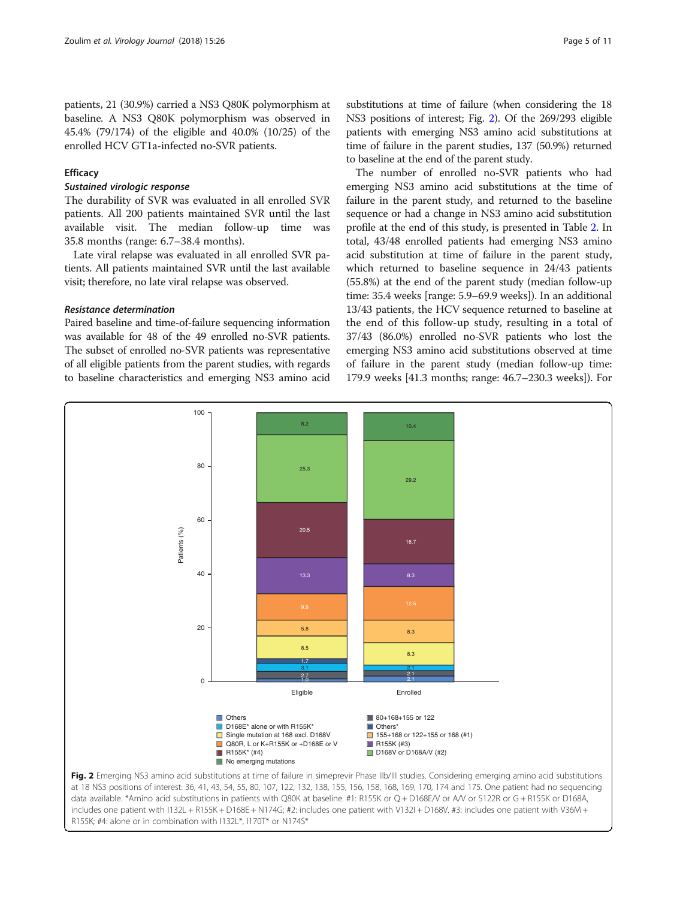patients, 21 (30.9%) carried a NS3 Q80K polymorphism at baseline. A NS3 Q80K polymorphism was observed in 45.4% (79/174) of the eligible and 40.0% (10/25) of the enrolled HCV GT1a-infected no-SVR patients.

# **Efficacy**

# Sustained virologic response

The durability of SVR was evaluated in all enrolled SVR patients. All 200 patients maintained SVR until the last available visit. The median follow-up time was 35.8 months (range: 6.7–38.4 months).

Late viral relapse was evaluated in all enrolled SVR patients. All patients maintained SVR until the last available visit; therefore, no late viral relapse was observed.

# Resistance determination

Paired baseline and time-of-failure sequencing information was available for 48 of the 49 enrolled no-SVR patients. The subset of enrolled no-SVR patients was representative of all eligible patients from the parent studies, with regards to baseline characteristics and emerging NS3 amino acid

substitutions at time of failure (when considering the 18 NS3 positions of interest; Fig. 2). Of the 269/293 eligible patients with emerging NS3 amino acid substitutions at time of failure in the parent studies, 137 (50.9%) returned to baseline at the end of the parent study.

The number of enrolled no-SVR patients who had emerging NS3 amino acid substitutions at the time of failure in the parent study, and returned to the baseline sequence or had a change in NS3 amino acid substitution profile at the end of this study, is presented in Table [2.](#page-5-0) In total, 43/48 enrolled patients had emerging NS3 amino acid substitution at time of failure in the parent study, which returned to baseline sequence in 24/43 patients (55.8%) at the end of the parent study (median follow-up time: 35.4 weeks [range: 5.9–69.9 weeks]). In an additional 13/43 patients, the HCV sequence returned to baseline at the end of this follow-up study, resulting in a total of 37/43 (86.0%) enrolled no-SVR patients who lost the emerging NS3 amino acid substitutions observed at time of failure in the parent study (median follow-up time: 179.9 weeks [41.3 months; range: 46.7–230.3 weeks]). For



data available. \*Amino acid substitutions in patients with Q80K at baseline. #1: R155K or Q + D168E/V or A/V or S122R or G + R155K or D168A, includes one patient with I132L + R155K + D168E + N174G; #2: includes one patient with V132I + D168V. #3: includes one patient with V36M + R155K; #4: alone or in combination with I132L\*, I170T\* or N174S\*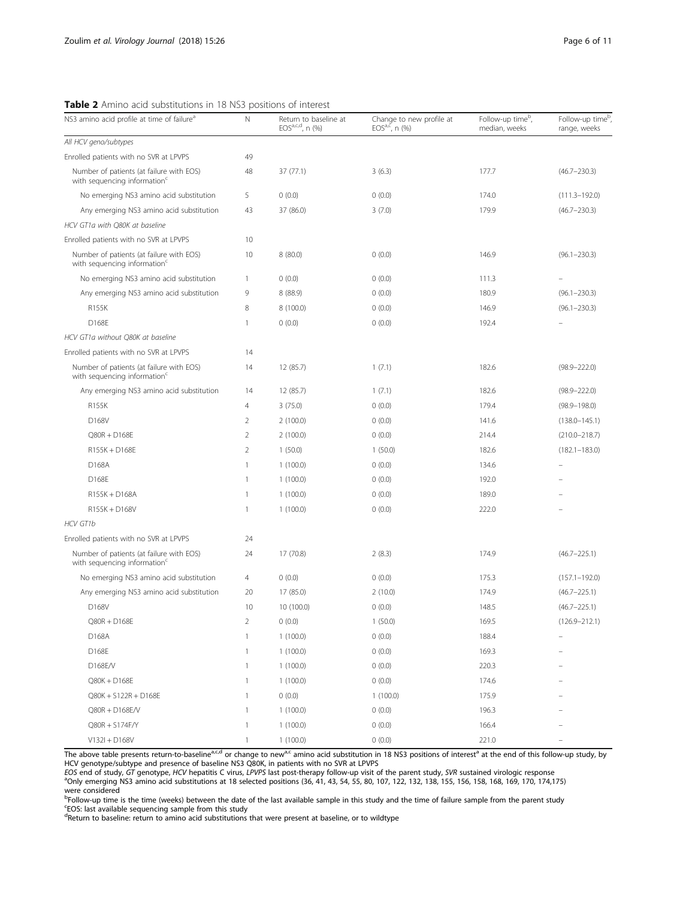#### <span id="page-5-0"></span>Table 2 Amino acid substitutions in 18 NS3 positions of interest

| NS3 amino acid profile at time of failure <sup>a</sup>                               | N              | Return to baseline at<br>$EOS^{a,c,d}$ , n (%) | Change to new profile at<br>$EOSa,\bar{c}$ , n (%) | Follow-up time <sup>b</sup> ,<br>median, weeks | Follow-up timeb,<br>range, weeks |
|--------------------------------------------------------------------------------------|----------------|------------------------------------------------|----------------------------------------------------|------------------------------------------------|----------------------------------|
| All HCV geno/subtypes                                                                |                |                                                |                                                    |                                                |                                  |
| Enrolled patients with no SVR at LPVPS                                               | 49             |                                                |                                                    |                                                |                                  |
| Number of patients (at failure with EOS)<br>with sequencing information <sup>c</sup> | 48             | 37 (77.1)                                      | 3(6.3)                                             | 177.7                                          | $(46.7 - 230.3)$                 |
| No emerging NS3 amino acid substitution                                              | 5              | 0(0.0)                                         | 0(0.0)                                             | 174.0                                          | $(111.3 - 192.0)$                |
| Any emerging NS3 amino acid substitution                                             | 43             | 37 (86.0)                                      | 3(7.0)                                             | 179.9                                          | $(46.7 - 230.3)$                 |
| HCV GT1a with Q80K at baseline                                                       |                |                                                |                                                    |                                                |                                  |
| Enrolled patients with no SVR at LPVPS                                               | 10             |                                                |                                                    |                                                |                                  |
| Number of patients (at failure with EOS)<br>with sequencing information <sup>c</sup> | 10             | 8(80.0)                                        | 0(0.0)                                             | 146.9                                          | $(96.1 - 230.3)$                 |
| No emerging NS3 amino acid substitution                                              | $\mathbf{1}$   | 0(0.0)                                         | 0(0.0)                                             | 111.3                                          |                                  |
| Any emerging NS3 amino acid substitution                                             | 9              | 8(88.9)                                        | 0(0.0)                                             | 180.9                                          | $(96.1 - 230.3)$                 |
| <b>R155K</b>                                                                         | 8              | 8 (100.0)                                      | 0(0.0)                                             | 146.9                                          | $(96.1 - 230.3)$                 |
| D168E                                                                                | $\mathbf{1}$   | 0(0.0)                                         | 0(0.0)                                             | 192.4                                          |                                  |
| HCV GT1a without Q80K at baseline                                                    |                |                                                |                                                    |                                                |                                  |
| Enrolled patients with no SVR at LPVPS                                               | 14             |                                                |                                                    |                                                |                                  |
| Number of patients (at failure with EOS)<br>with sequencing information <sup>c</sup> | 14             | 12 (85.7)                                      | 1(7.1)                                             | 182.6                                          | $(98.9 - 222.0)$                 |
| Any emerging NS3 amino acid substitution                                             | 14             | 12 (85.7)                                      | 1(7.1)                                             | 182.6                                          | $(98.9 - 222.0)$                 |
| <b>R155K</b>                                                                         | $\overline{4}$ | 3(75.0)                                        | 0(0.0)                                             | 179.4                                          | $(98.9 - 198.0)$                 |
| D168V                                                                                | $\overline{2}$ | 2(100.0)                                       | 0(0.0)                                             | 141.6                                          | $(138.0 - 145.1)$                |
| Q80R + D168E                                                                         | $\overline{2}$ | 2(100.0)                                       | 0(0.0)                                             | 214.4                                          | $(210.0 - 218.7)$                |
| R155K + D168E                                                                        | $\overline{2}$ | 1(50.0)                                        | 1(50.0)                                            | 182.6                                          | $(182.1 - 183.0)$                |
| D168A                                                                                | $\mathbf{1}$   | 1(100.0)                                       | 0(0.0)                                             | 134.6                                          |                                  |
| D168E                                                                                | $\mathbf{1}$   | 1(100.0)                                       | 0(0.0)                                             | 192.0                                          |                                  |
| R155K + D168A                                                                        | $\mathbf{1}$   | 1(100.0)                                       | 0(0.0)                                             | 189.0                                          |                                  |
| R155K + D168V                                                                        | $\mathbf{1}$   | 1(100.0)                                       | 0(0.0)                                             | 222.0                                          |                                  |
| <b>HCV GT1b</b>                                                                      |                |                                                |                                                    |                                                |                                  |
| Enrolled patients with no SVR at LPVPS                                               | 24             |                                                |                                                    |                                                |                                  |
| Number of patients (at failure with EOS)<br>with sequencing information <sup>c</sup> | 24             | 17 (70.8)                                      | 2(8.3)                                             | 174.9                                          | $(46.7 - 225.1)$                 |
| No emerging NS3 amino acid substitution                                              | 4              | 0(0.0)                                         | 0(0.0)                                             | 175.3                                          | $(157.1 - 192.0)$                |
| Any emerging NS3 amino acid substitution                                             | 20             | 17 (85.0)                                      | 2(10.0)                                            | 174.9                                          | $(46.7 - 225.1)$                 |
| D168V                                                                                | 10             | 10 (100.0)                                     | 0(0.0)                                             | 148.5                                          | $(46.7 - 225.1)$                 |
| $Q80R + D168E$                                                                       | 2              | 0(0.0)                                         | 1(50.0)                                            | 169.5                                          | $(126.9 - 212.1)$                |
| D168A                                                                                | $\mathbf{1}$   | 1(100.0)                                       | 0(0.0)                                             | 188.4                                          |                                  |
| D168E                                                                                | $\mathbf{1}$   | 1(100.0)                                       | 0(0.0)                                             | 169.3                                          |                                  |
| D168E/V                                                                              | $\mathbf{1}$   | 1(100.0)                                       | 0(0.0)                                             | 220.3                                          |                                  |
| Q80K + D168E                                                                         | $\mathbf{1}$   | 1(100.0)                                       | 0(0.0)                                             | 174.6                                          |                                  |
| $Q80K + S122R + D168E$                                                               | $\mathbf{1}$   | 0(0.0)                                         | 1(100.0)                                           | 175.9                                          |                                  |
| Q80R + D168E/V                                                                       | $\mathbf{1}$   | 1(100.0)                                       | 0(0.0)                                             | 196.3                                          |                                  |
| Q80R + S174F/Y                                                                       | $\mathbf{1}$   | 1(100.0)                                       | 0(0.0)                                             | 166.4                                          |                                  |
| $V132I + D168V$                                                                      | $\mathbf{1}$   | 1(100.0)                                       | 0(0.0)                                             | 221.0                                          |                                  |

The above table presents return-to-baseline<sup>a,c,d</sup> or change to new<sup>a,c</sup> amino acid substitution in 18 NS3 positions of interest<sup>a</sup> at the end of this follow-up study, by HCV genotype/subtype and presence of baseline NS3 Q80K, in patients with no SVR at LPVPS

EOS end of study, GT genotype, HCV hepatitis C virus, LPVPS last post-therapy follow-up visit of the parent study, SVR sustained virologic response<br>ªOnly emerging NS3 amino acid substitutions at 18 selected positions (36, were considered

b<br><sup>b</sup>Follow-up time is the time (weeks) between the date of the last available sample in this study and the time of failure sample from the parent study <sup>c</sup>EOS: last available sequencing sample from this study<br><sup>d</sup>Return to baseline: return to amino acid substitutions that were present at baseline, or to wildtype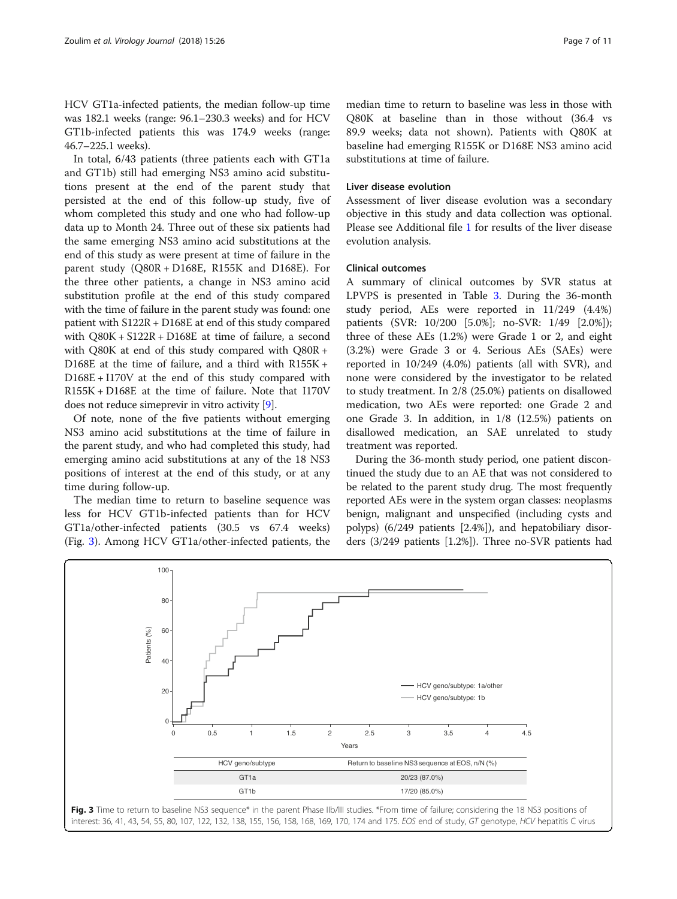HCV GT1a-infected patients, the median follow-up time was 182.1 weeks (range: 96.1–230.3 weeks) and for HCV GT1b-infected patients this was 174.9 weeks (range: 46.7–225.1 weeks).

In total, 6/43 patients (three patients each with GT1a and GT1b) still had emerging NS3 amino acid substitutions present at the end of the parent study that persisted at the end of this follow-up study, five of whom completed this study and one who had follow-up data up to Month 24. Three out of these six patients had the same emerging NS3 amino acid substitutions at the end of this study as were present at time of failure in the parent study (Q80R + D168E, R155K and D168E). For the three other patients, a change in NS3 amino acid substitution profile at the end of this study compared with the time of failure in the parent study was found: one patient with S122R + D168E at end of this study compared with Q80K + S122R + D168E at time of failure, a second with Q80K at end of this study compared with Q80R + D168E at the time of failure, and a third with R155K + D168E + I170V at the end of this study compared with R155K + D168E at the time of failure. Note that I170V does not reduce simeprevir in vitro activity [[9\]](#page-9-0).

Of note, none of the five patients without emerging NS3 amino acid substitutions at the time of failure in the parent study, and who had completed this study, had emerging amino acid substitutions at any of the 18 NS3 positions of interest at the end of this study, or at any time during follow-up.

The median time to return to baseline sequence was less for HCV GT1b-infected patients than for HCV GT1a/other-infected patients (30.5 vs 67.4 weeks) (Fig. 3). Among HCV GT1a/other-infected patients, the

median time to return to baseline was less in those with Q80K at baseline than in those without (36.4 vs 89.9 weeks; data not shown). Patients with Q80K at baseline had emerging R155K or D168E NS3 amino acid substitutions at time of failure.

# Liver disease evolution

Assessment of liver disease evolution was a secondary objective in this study and data collection was optional. Please see Additional file [1](#page-9-0) for results of the liver disease evolution analysis.

#### Clinical outcomes

A summary of clinical outcomes by SVR status at LPVPS is presented in Table [3](#page-7-0). During the 36-month study period, AEs were reported in 11/249 (4.4%) patients (SVR: 10/200 [5.0%]; no-SVR: 1/49 [2.0%]); three of these AEs (1.2%) were Grade 1 or 2, and eight (3.2%) were Grade 3 or 4. Serious AEs (SAEs) were reported in 10/249 (4.0%) patients (all with SVR), and none were considered by the investigator to be related to study treatment. In 2/8 (25.0%) patients on disallowed medication, two AEs were reported: one Grade 2 and one Grade 3. In addition, in 1/8 (12.5%) patients on disallowed medication, an SAE unrelated to study treatment was reported.

During the 36-month study period, one patient discontinued the study due to an AE that was not considered to be related to the parent study drug. The most frequently reported AEs were in the system organ classes: neoplasms benign, malignant and unspecified (including cysts and polyps) (6/249 patients [2.4%]), and hepatobiliary disorders (3/249 patients [1.2%]). Three no-SVR patients had



interest: 36, 41, 43, 54, 55, 80, 107, 122, 132, 138, 155, 156, 158, 168, 169, 170, 174 and 175. EOS end of study, GT genotype, HCV hepatitis C virus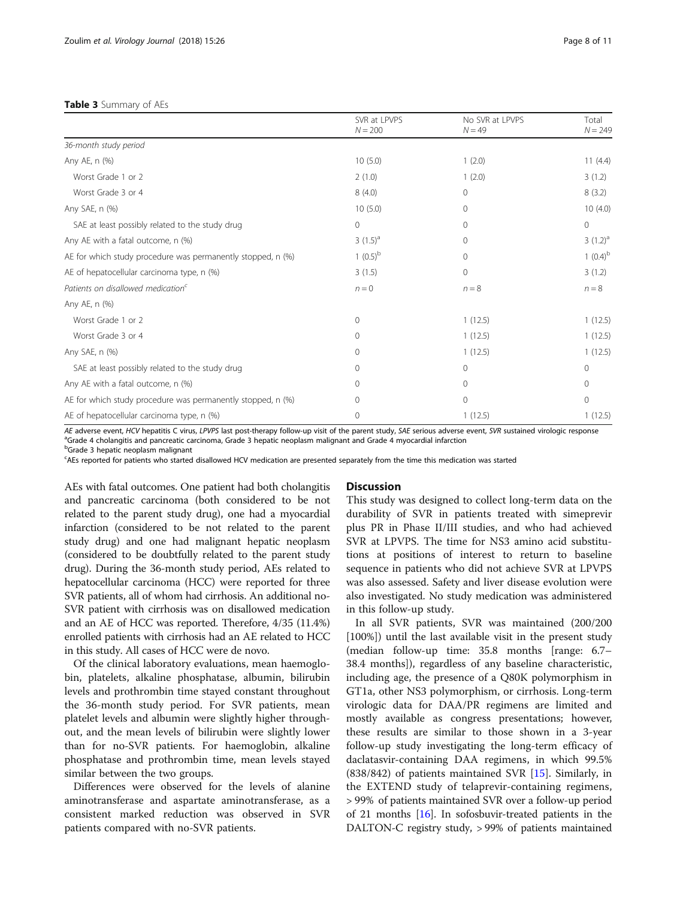### <span id="page-7-0"></span>Table 3 Summary of AEs

|                                                             | SVR at LPVPS<br>$N = 200$ | No SVR at LPVPS<br>$N = 49$ | Total<br>$N = 249$ |
|-------------------------------------------------------------|---------------------------|-----------------------------|--------------------|
| 36-month study period                                       |                           |                             |                    |
| Any AE, n (%)                                               | 10(5.0)                   | 1(2.0)                      | 11(4.4)            |
| Worst Grade 1 or 2                                          | 2(1.0)                    | 1(2.0)                      | 3(1.2)             |
| Worst Grade 3 or 4                                          | 8(4.0)                    | 0                           | 8(3.2)             |
| Any SAE, n (%)                                              | 10(5.0)                   | 0                           | 10(4.0)            |
| SAE at least possibly related to the study drug             | $\circ$                   | $\mathbf{0}$                | 0                  |
| Any AE with a fatal outcome, n (%)                          | 3 $(1.5)^a$               | 0                           | 3 $(1.2)^a$        |
| AE for which study procedure was permanently stopped, n (%) | $1(0.5)^{b}$              | $\Omega$                    | $1(0.4)^{b}$       |
| AE of hepatocellular carcinoma type, n (%)                  | 3(1.5)                    | $\mathbf{0}$                | 3(1.2)             |
| Patients on disallowed medication <sup>c</sup>              | $n = 0$                   | $n = 8$                     | $n = 8$            |
| Any AE, n (%)                                               |                           |                             |                    |
| Worst Grade 1 or 2                                          | 0                         | 1(12.5)                     | 1(12.5)            |
| Worst Grade 3 or 4                                          | 0                         | 1(12.5)                     | 1(12.5)            |
| Any SAE, n (%)                                              | 0                         | 1(12.5)                     | 1(12.5)            |
| SAE at least possibly related to the study drug             | 0                         | 0                           | 0                  |
| Any AE with a fatal outcome, n (%)                          | 0                         | $\circ$                     | 0                  |
| AE for which study procedure was permanently stopped, n (%) | $\Omega$                  | $\circ$                     | $\Omega$           |
| AE of hepatocellular carcinoma type, n (%)                  | 0                         | 1(12.5)                     | 1(12.5)            |

AE adverse event, HCV hepatitis C virus, LPVPS last post-therapy follow-up visit of the parent study, SAE serious adverse event, SVR sustained virologic response <sup>a</sup>Grade 4 cholangitis and pancreatic carcinoma, Grade 3 hepatic neoplasm malignant and Grade 4 myocardial infarction

<sup>b</sup>Grade 3 hepatic neoplasm malignant

c AEs reported for patients who started disallowed HCV medication are presented separately from the time this medication was started

AEs with fatal outcomes. One patient had both cholangitis and pancreatic carcinoma (both considered to be not related to the parent study drug), one had a myocardial infarction (considered to be not related to the parent study drug) and one had malignant hepatic neoplasm (considered to be doubtfully related to the parent study drug). During the 36-month study period, AEs related to hepatocellular carcinoma (HCC) were reported for three SVR patients, all of whom had cirrhosis. An additional no-SVR patient with cirrhosis was on disallowed medication and an AE of HCC was reported. Therefore, 4/35 (11.4%) enrolled patients with cirrhosis had an AE related to HCC in this study. All cases of HCC were de novo.

Of the clinical laboratory evaluations, mean haemoglobin, platelets, alkaline phosphatase, albumin, bilirubin levels and prothrombin time stayed constant throughout the 36-month study period. For SVR patients, mean platelet levels and albumin were slightly higher throughout, and the mean levels of bilirubin were slightly lower than for no-SVR patients. For haemoglobin, alkaline phosphatase and prothrombin time, mean levels stayed similar between the two groups.

Differences were observed for the levels of alanine aminotransferase and aspartate aminotransferase, as a consistent marked reduction was observed in SVR patients compared with no-SVR patients.

## **Discussion**

This study was designed to collect long-term data on the durability of SVR in patients treated with simeprevir plus PR in Phase II/III studies, and who had achieved SVR at LPVPS. The time for NS3 amino acid substitutions at positions of interest to return to baseline sequence in patients who did not achieve SVR at LPVPS was also assessed. Safety and liver disease evolution were also investigated. No study medication was administered in this follow-up study.

In all SVR patients, SVR was maintained (200/200 [100%]) until the last available visit in the present study (median follow-up time: 35.8 months [range: 6.7– 38.4 months]), regardless of any baseline characteristic, including age, the presence of a Q80K polymorphism in GT1a, other NS3 polymorphism, or cirrhosis. Long-term virologic data for DAA/PR regimens are limited and mostly available as congress presentations; however, these results are similar to those shown in a 3-year follow-up study investigating the long-term efficacy of daclatasvir-containing DAA regimens, in which 99.5% (838/842) of patients maintained SVR [[15\]](#page-10-0). Similarly, in the EXTEND study of telaprevir-containing regimens, > 99% of patients maintained SVR over a follow-up period of 21 months [\[16\]](#page-10-0). In sofosbuvir-treated patients in the DALTON-C registry study, > 99% of patients maintained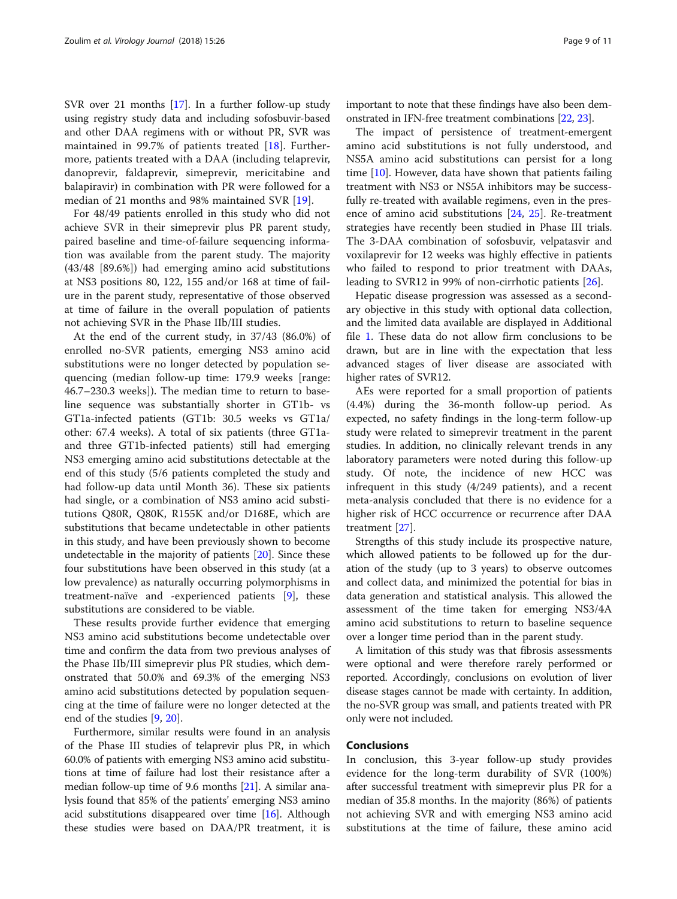SVR over 21 months [[17](#page-10-0)]. In a further follow-up study using registry study data and including sofosbuvir-based and other DAA regimens with or without PR, SVR was maintained in 99.7% of patients treated [[18\]](#page-10-0). Furthermore, patients treated with a DAA (including telaprevir, danoprevir, faldaprevir, simeprevir, mericitabine and balapiravir) in combination with PR were followed for a median of 21 months and 98% maintained SVR [[19\]](#page-10-0).

For 48/49 patients enrolled in this study who did not achieve SVR in their simeprevir plus PR parent study, paired baseline and time-of-failure sequencing information was available from the parent study. The majority (43/48 [89.6%]) had emerging amino acid substitutions at NS3 positions 80, 122, 155 and/or 168 at time of failure in the parent study, representative of those observed at time of failure in the overall population of patients not achieving SVR in the Phase IIb/III studies.

At the end of the current study, in 37/43 (86.0%) of enrolled no-SVR patients, emerging NS3 amino acid substitutions were no longer detected by population sequencing (median follow-up time: 179.9 weeks [range: 46.7–230.3 weeks]). The median time to return to baseline sequence was substantially shorter in GT1b- vs GT1a-infected patients (GT1b: 30.5 weeks vs GT1a/ other: 67.4 weeks). A total of six patients (three GT1aand three GT1b-infected patients) still had emerging NS3 emerging amino acid substitutions detectable at the end of this study (5/6 patients completed the study and had follow-up data until Month 36). These six patients had single, or a combination of NS3 amino acid substitutions Q80R, Q80K, R155K and/or D168E, which are substitutions that became undetectable in other patients in this study, and have been previously shown to become undetectable in the majority of patients [\[20\]](#page-10-0). Since these four substitutions have been observed in this study (at a low prevalence) as naturally occurring polymorphisms in treatment-naïve and -experienced patients [\[9](#page-9-0)], these substitutions are considered to be viable.

These results provide further evidence that emerging NS3 amino acid substitutions become undetectable over time and confirm the data from two previous analyses of the Phase IIb/III simeprevir plus PR studies, which demonstrated that 50.0% and 69.3% of the emerging NS3 amino acid substitutions detected by population sequencing at the time of failure were no longer detected at the end of the studies [[9,](#page-9-0) [20\]](#page-10-0).

Furthermore, similar results were found in an analysis of the Phase III studies of telaprevir plus PR, in which 60.0% of patients with emerging NS3 amino acid substitutions at time of failure had lost their resistance after a median follow-up time of 9.6 months [[21](#page-10-0)]. A similar analysis found that 85% of the patients' emerging NS3 amino acid substitutions disappeared over time [\[16\]](#page-10-0). Although these studies were based on DAA/PR treatment, it is

important to note that these findings have also been demonstrated in IFN-free treatment combinations [[22](#page-10-0), [23\]](#page-10-0).

The impact of persistence of treatment-emergent amino acid substitutions is not fully understood, and NS5A amino acid substitutions can persist for a long time  $[10]$ . However, data have shown that patients failing treatment with NS3 or NS5A inhibitors may be successfully re-treated with available regimens, even in the presence of amino acid substitutions [\[24](#page-10-0), [25](#page-10-0)]. Re-treatment strategies have recently been studied in Phase III trials. The 3-DAA combination of sofosbuvir, velpatasvir and voxilaprevir for 12 weeks was highly effective in patients who failed to respond to prior treatment with DAAs, leading to SVR12 in 99% of non-cirrhotic patients [[26\]](#page-10-0).

Hepatic disease progression was assessed as a secondary objective in this study with optional data collection, and the limited data available are displayed in Additional file [1](#page-9-0). These data do not allow firm conclusions to be drawn, but are in line with the expectation that less advanced stages of liver disease are associated with higher rates of SVR12.

AEs were reported for a small proportion of patients (4.4%) during the 36-month follow-up period. As expected, no safety findings in the long-term follow-up study were related to simeprevir treatment in the parent studies. In addition, no clinically relevant trends in any laboratory parameters were noted during this follow-up study. Of note, the incidence of new HCC was infrequent in this study (4/249 patients), and a recent meta-analysis concluded that there is no evidence for a higher risk of HCC occurrence or recurrence after DAA treatment [[27\]](#page-10-0).

Strengths of this study include its prospective nature, which allowed patients to be followed up for the duration of the study (up to 3 years) to observe outcomes and collect data, and minimized the potential for bias in data generation and statistical analysis. This allowed the assessment of the time taken for emerging NS3/4A amino acid substitutions to return to baseline sequence over a longer time period than in the parent study.

A limitation of this study was that fibrosis assessments were optional and were therefore rarely performed or reported. Accordingly, conclusions on evolution of liver disease stages cannot be made with certainty. In addition, the no-SVR group was small, and patients treated with PR only were not included.

# Conclusions

In conclusion, this 3-year follow-up study provides evidence for the long-term durability of SVR (100%) after successful treatment with simeprevir plus PR for a median of 35.8 months. In the majority (86%) of patients not achieving SVR and with emerging NS3 amino acid substitutions at the time of failure, these amino acid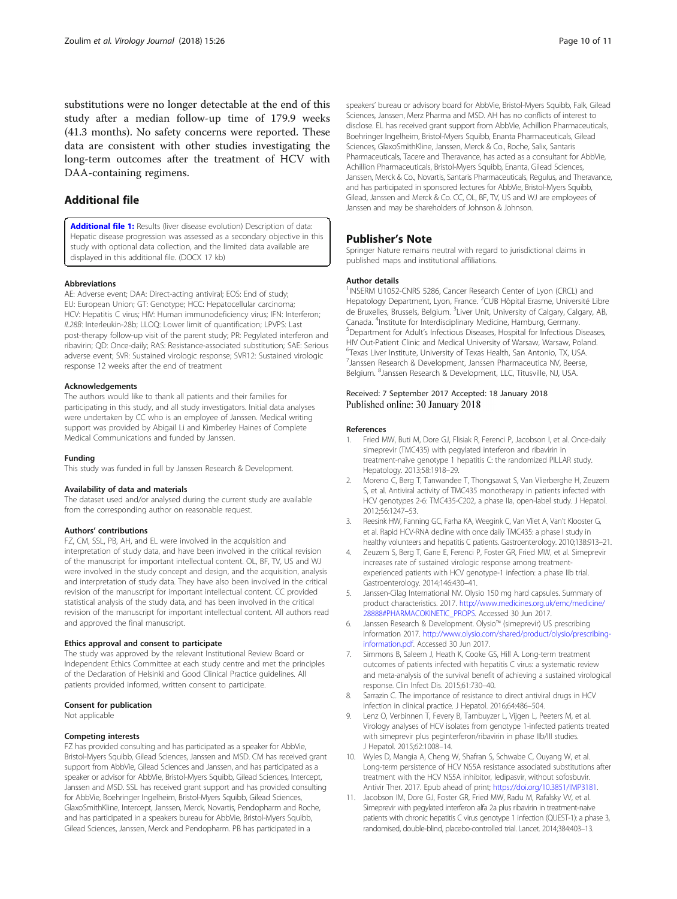<span id="page-9-0"></span>substitutions were no longer detectable at the end of this study after a median follow-up time of 179.9 weeks (41.3 months). No safety concerns were reported. These data are consistent with other studies investigating the long-term outcomes after the treatment of HCV with DAA-containing regimens.

# Additional file

[Additional file 1:](dx.doi.org/10.1186/s12985-018-0936-4) Results (liver disease evolution) Description of data: Hepatic disease progression was assessed as a secondary objective in this study with optional data collection, and the limited data available are displayed in this additional file. (DOCX 17 kb)

#### Abbreviations

AE: Adverse event; DAA: Direct-acting antiviral; EOS: End of study; EU: European Union; GT: Genotype; HCC: Hepatocellular carcinoma; HCV: Hepatitis C virus; HIV: Human immunodeficiency virus; IFN: Interferon; IL28B: Interleukin-28b; LLOQ: Lower limit of quantification; LPVPS: Last post-therapy follow-up visit of the parent study; PR: Pegylated interferon and ribavirin; QD: Once-daily; RAS: Resistance-associated substitution; SAE: Serious adverse event; SVR: Sustained virologic response; SVR12: Sustained virologic response 12 weeks after the end of treatment

#### Acknowledgements

The authors would like to thank all patients and their families for participating in this study, and all study investigators. Initial data analyses were undertaken by CC who is an employee of Janssen. Medical writing support was provided by Abigail Li and Kimberley Haines of Complete Medical Communications and funded by Janssen.

#### Funding

This study was funded in full by Janssen Research & Development.

### Availability of data and materials

The dataset used and/or analysed during the current study are available from the corresponding author on reasonable request.

#### Authors' contributions

FZ, CM, SSL, PB, AH, and EL were involved in the acquisition and interpretation of study data, and have been involved in the critical revision of the manuscript for important intellectual content. OL, BF, TV, US and WJ were involved in the study concept and design, and the acquisition, analysis and interpretation of study data. They have also been involved in the critical revision of the manuscript for important intellectual content. CC provided statistical analysis of the study data, and has been involved in the critical revision of the manuscript for important intellectual content. All authors read and approved the final manuscript.

#### Ethics approval and consent to participate

The study was approved by the relevant Institutional Review Board or Independent Ethics Committee at each study centre and met the principles of the Declaration of Helsinki and Good Clinical Practice guidelines. All patients provided informed, written consent to participate.

#### Consent for publication

Not applicable

#### Competing interests

FZ has provided consulting and has participated as a speaker for AbbVie, Bristol-Myers Squibb, Gilead Sciences, Janssen and MSD. CM has received grant support from AbbVie, Gilead Sciences and Janssen, and has participated as a speaker or advisor for AbbVie, Bristol-Myers Squibb, Gilead Sciences, Intercept, Janssen and MSD. SSL has received grant support and has provided consulting for AbbVie, Boehringer Ingelheim, Bristol-Myers Squibb, Gilead Sciences, GlaxoSmithKline, Intercept, Janssen, Merck, Novartis, Pendopharm and Roche, and has participated in a speakers bureau for AbbVie, Bristol-Myers Squibb, Gilead Sciences, Janssen, Merck and Pendopharm. PB has participated in a

speakers' bureau or advisory board for AbbVie, Bristol-Myers Squibb, Falk, Gilead Sciences, Janssen, Merz Pharma and MSD. AH has no conflicts of interest to disclose. EL has received grant support from AbbVie, Achillion Pharmaceuticals, Boehringer Ingelheim, Bristol-Myers Squibb, Enanta Pharmaceuticals, Gilead Sciences, GlaxoSmithKline, Janssen, Merck & Co., Roche, Salix, Santaris Pharmaceuticals, Tacere and Theravance, has acted as a consultant for AbbVie, Achillion Pharmaceuticals, Bristol-Myers Squibb, Enanta, Gilead Sciences, Janssen, Merck & Co., Novartis, Santaris Pharmaceuticals, Regulus, and Theravance, and has participated in sponsored lectures for AbbVie, Bristol-Myers Squibb, Gilead, Janssen and Merck & Co. CC, OL, BF, TV, US and WJ are employees of Janssen and may be shareholders of Johnson & Johnson.

## Publisher's Note

Springer Nature remains neutral with regard to jurisdictional claims in published maps and institutional affiliations.

#### Author details

<sup>1</sup>INSERM U1052-CNRS 5286, Cancer Research Center of Lyon (CRCL) and Hepatology Department, Lyon, France. <sup>2</sup>CUB Hôpital Erasme, Université Libre de Bruxelles, Brussels, Belgium. <sup>3</sup> Liver Unit, University of Calgary, Calgary, AB Canada. <sup>4</sup>Institute for Interdisciplinary Medicine, Hamburg, Germany.<br><sup>5</sup>Department for Adult's Infectious Diseases. Hospital for Infectious D <sup>5</sup>Department for Adult's Infectious Diseases, Hospital for Infectious Diseases, HIV Out-Patient Clinic and Medical University of Warsaw, Warsaw, Poland. 6 Texas Liver Institute, University of Texas Health, San Antonio, TX, USA. 7 Janssen Research & Development, Janssen Pharmaceutica NV, Beerse, Belgium. <sup>8</sup>Janssen Research & Development, LLC, Titusville, NJ, USA

### Received: 7 September 2017 Accepted: 18 January 2018 Published online: 30 January 2018

#### References

- 1. Fried MW, Buti M, Dore GJ, Flisiak R, Ferenci P, Jacobson I, et al. Once-daily simeprevir (TMC435) with pegylated interferon and ribavirin in treatment-naîve genotype 1 hepatitis C: the randomized PILLAR study. Hepatology. 2013;58:1918–29.
- 2. Moreno C, Berg T, Tanwandee T, Thongsawat S, Van Vlierberghe H, Zeuzem S, et al. Antiviral activity of TMC435 monotherapy in patients infected with HCV genotypes 2-6: TMC435-C202, a phase IIa, open-label study. J Hepatol. 2012;56:1247–53.
- 3. Reesink HW, Fanning GC, Farha KA, Weegink C, Van Vliet A, Van't Klooster G, et al. Rapid HCV-RNA decline with once daily TMC435: a phase I study in healthy volunteers and hepatitis C patients. Gastroenterology. 2010;138:913–21.
- 4. Zeuzem S, Berg T, Gane E, Ferenci P, Foster GR, Fried MW, et al. Simeprevir increases rate of sustained virologic response among treatmentexperienced patients with HCV genotype-1 infection: a phase IIb trial. Gastroenterology. 2014;146:430–41.
- 5. Janssen-Cilag International NV. Olysio 150 mg hard capsules. Summary of product characteristics. 2017. [http://www.medicines.org.uk/emc/medicine/](http://www.medicines.org.uk/emc/medicine/28888#PHARMACOKINETIC_PROPS) [28888#PHARMACOKINETIC\\_PROPS.](http://www.medicines.org.uk/emc/medicine/28888#PHARMACOKINETIC_PROPS) Accessed 30 Jun 2017.
- 6. Janssen Research & Development. Olysio™ (simeprevir) US prescribing information 2017. [http://www.olysio.com/shared/product/olysio/prescribing](http://www.olysio.com/shared/product/olysio/prescribing-information.pdf)[information.pdf.](http://www.olysio.com/shared/product/olysio/prescribing-information.pdf) Accessed 30 Jun 2017.
- 7. Simmons B, Saleem J, Heath K, Cooke GS, Hill A. Long-term treatment outcomes of patients infected with hepatitis C virus: a systematic review and meta-analysis of the survival benefit of achieving a sustained virological response. Clin Infect Dis. 2015;61:730–40.
- 8. Sarrazin C. The importance of resistance to direct antiviral drugs in HCV infection in clinical practice. J Hepatol. 2016;64:486–504.
- Lenz O, Verbinnen T, Fevery B, Tambuyzer L, Vijgen L, Peeters M, et al. Virology analyses of HCV isolates from genotype 1-infected patients treated with simeprevir plus peginterferon/ribavirin in phase IIb/III studies. J Hepatol. 2015;62:1008–14.
- 10. Wyles D, Mangia A, Cheng W, Shafran S, Schwabe C, Ouyang W, et al. Long-term persistence of HCV NS5A resistance associated substitutions after treatment with the HCV NS5A inhibitor, ledipasvir, without sofosbuvir. Antivir Ther. 2017. Epub ahead of print; [https://doi.org/10.3851/IMP3181](http://dx.doi.org/10.3851/IMP3181).
- 11. Jacobson IM, Dore GJ, Foster GR, Fried MW, Radu M, Rafalsky VV, et al. Simeprevir with pegylated interferon alfa 2a plus ribavirin in treatment-naive patients with chronic hepatitis C virus genotype 1 infection (QUEST-1): a phase 3, randomised, double-blind, placebo-controlled trial. Lancet. 2014;384:403–13.